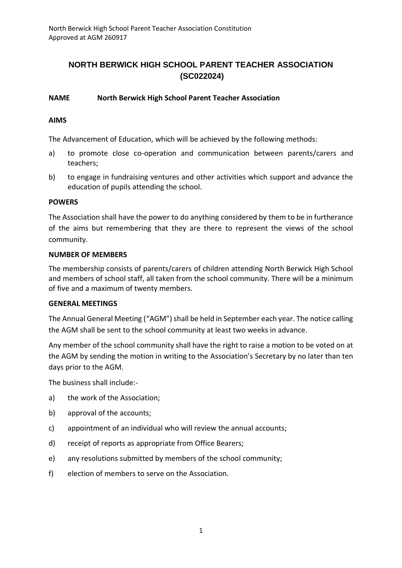# **NORTH BERWICK HIGH SCHOOL PARENT TEACHER ASSOCIATION (SC022024)**

## **NAME North Berwick High School Parent Teacher Association**

## **AIMS**

The Advancement of Education, which will be achieved by the following methods:

- a) to promote close co-operation and communication between parents/carers and teachers;
- b) to engage in fundraising ventures and other activities which support and advance the education of pupils attending the school.

#### **POWERS**

The Association shall have the power to do anything considered by them to be in furtherance of the aims but remembering that they are there to represent the views of the school community.

#### **NUMBER OF MEMBERS**

The membership consists of parents/carers of children attending North Berwick High School and members of school staff, all taken from the school community. There will be a minimum of five and a maximum of twenty members.

#### **GENERAL MEETINGS**

The Annual General Meeting ("AGM") shall be held in September each year. The notice calling the AGM shall be sent to the school community at least two weeks in advance.

Any member of the school community shall have the right to raise a motion to be voted on at the AGM by sending the motion in writing to the Association's Secretary by no later than ten days prior to the AGM.

The business shall include:-

- a) the work of the Association;
- b) approval of the accounts;
- c) appointment of an individual who will review the annual accounts;
- d) receipt of reports as appropriate from Office Bearers;
- e) any resolutions submitted by members of the school community;
- f) election of members to serve on the Association.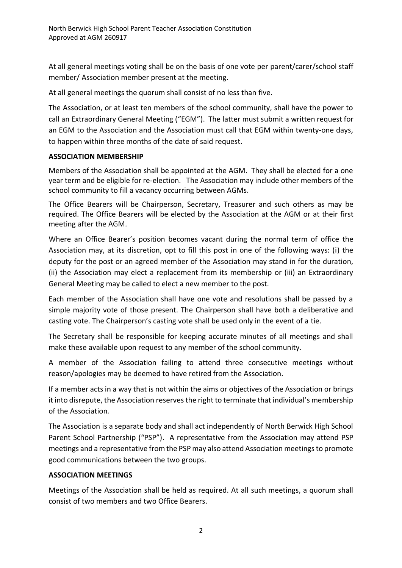At all general meetings voting shall be on the basis of one vote per parent/carer/school staff member/ Association member present at the meeting.

At all general meetings the quorum shall consist of no less than five.

The Association, or at least ten members of the school community, shall have the power to call an Extraordinary General Meeting ("EGM"). The latter must submit a written request for an EGM to the Association and the Association must call that EGM within twenty-one days, to happen within three months of the date of said request.

# **ASSOCIATION MEMBERSHIP**

Members of the Association shall be appointed at the AGM. They shall be elected for a one year term and be eligible for re-election. The Association may include other members of the school community to fill a vacancy occurring between AGMs.

The Office Bearers will be Chairperson, Secretary, Treasurer and such others as may be required. The Office Bearers will be elected by the Association at the AGM or at their first meeting after the AGM.

Where an Office Bearer's position becomes vacant during the normal term of office the Association may, at its discretion, opt to fill this post in one of the following ways: (i) the deputy for the post or an agreed member of the Association may stand in for the duration, (ii) the Association may elect a replacement from its membership or (iii) an Extraordinary General Meeting may be called to elect a new member to the post.

Each member of the Association shall have one vote and resolutions shall be passed by a simple majority vote of those present. The Chairperson shall have both a deliberative and casting vote. The Chairperson's casting vote shall be used only in the event of a tie.

The Secretary shall be responsible for keeping accurate minutes of all meetings and shall make these available upon request to any member of the school community.

A member of the Association failing to attend three consecutive meetings without reason/apologies may be deemed to have retired from the Association.

If a member acts in a way that is not within the aims or objectives of the Association or brings it into disrepute, the Association reserves the right to terminate that individual's membership of the Association*.*

The Association is a separate body and shall act independently of North Berwick High School Parent School Partnership ("PSP"). A representative from the Association may attend PSP meetings and a representative from the PSP may also attend Association meetings to promote good communications between the two groups.

# **ASSOCIATION MEETINGS**

Meetings of the Association shall be held as required. At all such meetings, a quorum shall consist of two members and two Office Bearers.